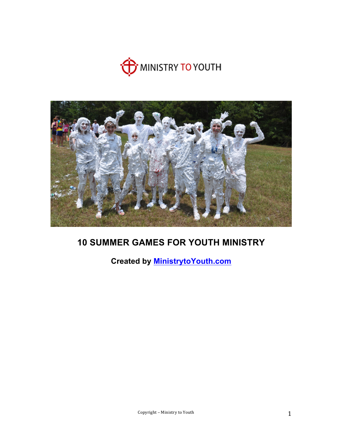



# **10 SUMMER GAMES FOR YOUTH MINISTRY**

**Created by MinistrytoYouth.com**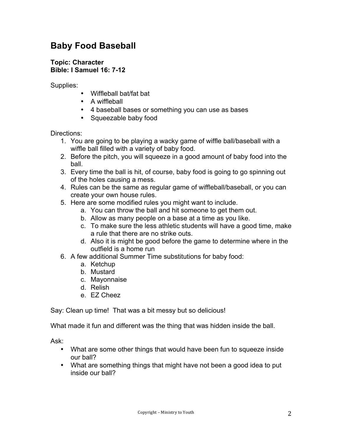### **Baby Food Baseball**

#### **Topic: Character Bible: I Samuel 16: 7-12**

Supplies:

- Wiffleball bat/fat bat
- A wiffleball
- 4 baseball bases or something you can use as bases
- Squeezable baby food

Directions:

- 1. You are going to be playing a wacky game of wiffle ball/baseball with a wiffle ball filled with a variety of baby food.
- 2. Before the pitch, you will squeeze in a good amount of baby food into the ball.
- 3. Every time the ball is hit, of course, baby food is going to go spinning out of the holes causing a mess.
- 4. Rules can be the same as regular game of wiffleball/baseball, or you can create your own house rules.
- 5. Here are some modified rules you might want to include.
	- a. You can throw the ball and hit someone to get them out.
	- b. Allow as many people on a base at a time as you like.
	- c. To make sure the less athletic students will have a good time, make a rule that there are no strike outs.
	- d. Also it is might be good before the game to determine where in the outfield is a home run
- 6. A few additional Summer Time substitutions for baby food:
	- a. Ketchup
	- b. Mustard
	- c. Mayonnaise
	- d. Relish
	- e. EZ Cheez

Say: Clean up time! That was a bit messy but so delicious!

What made it fun and different was the thing that was hidden inside the ball.

Ask:

- What are some other things that would have been fun to squeeze inside our ball?
- What are something things that might have not been a good idea to put inside our ball?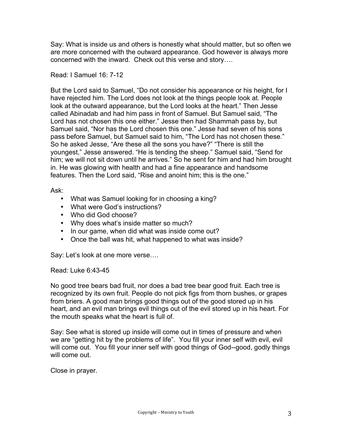Say: What is inside us and others is honestly what should matter, but so often we are more concerned with the outward appearance. God however is always more concerned with the inward. Check out this verse and story….

#### Read: I Samuel 16: 7-12

But the Lord said to Samuel, "Do not consider his appearance or his height, for I have rejected him. The Lord does not look at the things people look at. People look at the outward appearance, but the Lord looks at the heart." Then Jesse called Abinadab and had him pass in front of Samuel. But Samuel said, "The Lord has not chosen this one either." Jesse then had Shammah pass by, but Samuel said, "Nor has the Lord chosen this one." Jesse had seven of his sons pass before Samuel, but Samuel said to him, "The Lord has not chosen these." So he asked Jesse, "Are these all the sons you have?" "There is still the youngest," Jesse answered. "He is tending the sheep." Samuel said, "Send for him; we will not sit down until he arrives." So he sent for him and had him brought in. He was glowing with health and had a fine appearance and handsome features. Then the Lord said, "Rise and anoint him; this is the one."

Ask:

- What was Samuel looking for in choosing a king?
- What were God's instructions?
- Who did God choose?
- Why does what's inside matter so much?
- In our game, when did what was inside come out?
- Once the ball was hit, what happened to what was inside?

Say: Let's look at one more verse….

Read: Luke 6:43-45

No good tree bears bad fruit, nor does a bad tree bear good fruit. Each tree is recognized by its own fruit. People do not pick figs from thorn bushes, or grapes from briers. A good man brings good things out of the good stored up in his heart, and an evil man brings evil things out of the evil stored up in his heart. For the mouth speaks what the heart is full of.

Say: See what is stored up inside will come out in times of pressure and when we are "getting hit by the problems of life". You fill your inner self with evil, evil will come out. You fill your inner self with good things of God--good, godly things will come out.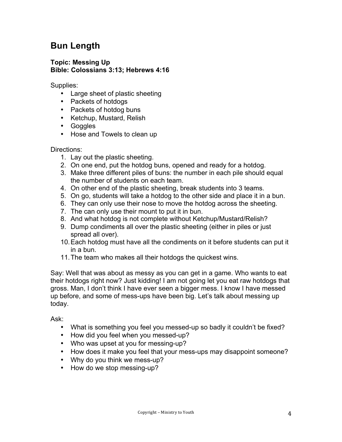# **Bun Length**

#### **Topic: Messing Up Bible: Colossians 3:13; Hebrews 4:16**

Supplies:

- Large sheet of plastic sheeting
- Packets of hotdogs
- Packets of hotdog buns
- Ketchup, Mustard, Relish
- Goggles
- Hose and Towels to clean up

Directions:

- 1. Lay out the plastic sheeting.
- 2. On one end, put the hotdog buns, opened and ready for a hotdog.
- 3. Make three different piles of buns: the number in each pile should equal the number of students on each team.
- 4. On other end of the plastic sheeting, break students into 3 teams.
- 5. On go, students will take a hotdog to the other side and place it in a bun.
- 6. They can only use their nose to move the hotdog across the sheeting.
- 7. The can only use their mount to put it in bun.
- 8. And what hotdog is not complete without Ketchup/Mustard/Relish?
- 9. Dump condiments all over the plastic sheeting (either in piles or just spread all over).
- 10.Each hotdog must have all the condiments on it before students can put it in a bun.
- 11.The team who makes all their hotdogs the quickest wins.

Say: Well that was about as messy as you can get in a game. Who wants to eat their hotdogs right now? Just kidding! I am not going let you eat raw hotdogs that gross. Man, I don't think I have ever seen a bigger mess. I know I have messed up before, and some of mess-ups have been big. Let's talk about messing up today.

Ask:

- What is something you feel you messed-up so badly it couldn't be fixed?
- How did you feel when you messed-up?
- Who was upset at you for messing-up?
- How does it make you feel that your mess-ups may disappoint someone?
- Why do you think we mess-up?
- How do we stop messing-up?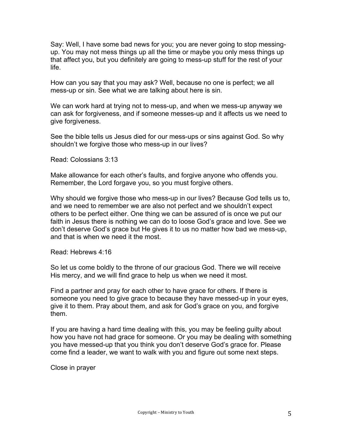Say: Well, I have some bad news for you; you are never going to stop messingup. You may not mess things up all the time or maybe you only mess things up that affect you, but you definitely are going to mess-up stuff for the rest of your life.

How can you say that you may ask? Well, because no one is perfect; we all mess-up or sin. See what we are talking about here is sin.

We can work hard at trying not to mess-up, and when we mess-up anyway we can ask for forgiveness, and if someone messes-up and it affects us we need to give forgiveness.

See the bible tells us Jesus died for our mess-ups or sins against God. So why shouldn't we forgive those who mess-up in our lives?

Read: Colossians 3:13

Make allowance for each other's faults, and forgive anyone who offends you. Remember, the Lord forgave you, so you must forgive others.

Why should we forgive those who mess-up in our lives? Because God tells us to, and we need to remember we are also not perfect and we shouldn't expect others to be perfect either. One thing we can be assured of is once we put our faith in Jesus there is nothing we can do to loose God's grace and love. See we don't deserve God's grace but He gives it to us no matter how bad we mess-up, and that is when we need it the most.

Read: Hebrews 4:16

So let us come boldly to the throne of our gracious God. There we will receive His mercy, and we will find grace to help us when we need it most.

Find a partner and pray for each other to have grace for others. If there is someone you need to give grace to because they have messed-up in your eyes, give it to them. Pray about them, and ask for God's grace on you, and forgive them.

If you are having a hard time dealing with this, you may be feeling guilty about how you have not had grace for someone. Or you may be dealing with something you have messed-up that you think you don't deserve God's grace for. Please come find a leader, we want to walk with you and figure out some next steps.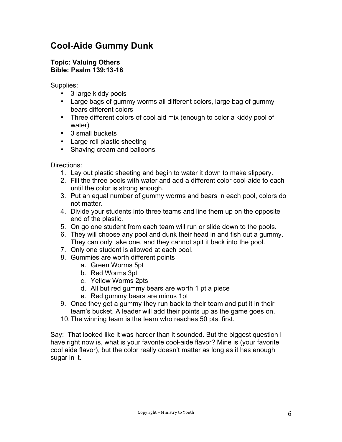## **Cool-Aide Gummy Dunk**

#### **Topic: Valuing Others Bible: Psalm 139:13-16**

Supplies:

- 3 large kiddy pools
- Large bags of gummy worms all different colors, large bag of gummy bears different colors
- Three different colors of cool aid mix (enough to color a kiddy pool of water)
- 3 small buckets
- Large roll plastic sheeting
- Shaving cream and balloons

Directions:

- 1. Lay out plastic sheeting and begin to water it down to make slippery.
- 2. Fill the three pools with water and add a different color cool-aide to each until the color is strong enough.
- 3. Put an equal number of gummy worms and bears in each pool, colors do not matter.
- 4. Divide your students into three teams and line them up on the opposite end of the plastic.
- 5. On go one student from each team will run or slide down to the pools.
- 6. They will choose any pool and dunk their head in and fish out a gummy. They can only take one, and they cannot spit it back into the pool.
- 7. Only one student is allowed at each pool.
- 8. Gummies are worth different points
	- a. Green Worms 5pt
	- b. Red Worms 3pt
	- c. Yellow Worms 2pts
	- d. All but red gummy bears are worth 1 pt a piece
	- e. Red gummy bears are minus 1pt
- 9. Once they get a gummy they run back to their team and put it in their team's bucket. A leader will add their points up as the game goes on.
- 10.The winning team is the team who reaches 50 pts. first.

Say: That looked like it was harder than it sounded. But the biggest question I have right now is, what is your favorite cool-aide flavor? Mine is (your favorite cool aide flavor), but the color really doesn't matter as long as it has enough sugar in it.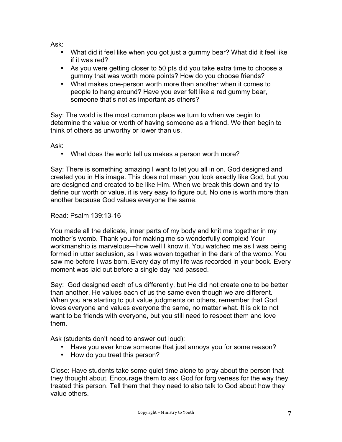Ask:

- What did it feel like when you got just a gummy bear? What did it feel like if it was red?
- As you were getting closer to 50 pts did you take extra time to choose a gummy that was worth more points? How do you choose friends?
- What makes one-person worth more than another when it comes to people to hang around? Have you ever felt like a red gummy bear, someone that's not as important as others?

Say: The world is the most common place we turn to when we begin to determine the value or worth of having someone as a friend. We then begin to think of others as unworthy or lower than us.

Ask:

• What does the world tell us makes a person worth more?

Say: There is something amazing I want to let you all in on. God designed and created you in His image. This does not mean you look exactly like God, but you are designed and created to be like Him. When we break this down and try to define our worth or value, it is very easy to figure out. No one is worth more than another because God values everyone the same.

Read: Psalm 139:13-16

You made all the delicate, inner parts of my body and knit me together in my mother's womb. Thank you for making me so wonderfully complex! Your workmanship is marvelous—how well I know it. You watched me as I was being formed in utter seclusion, as I was woven together in the dark of the womb. You saw me before I was born. Every day of my life was recorded in your book. Every moment was laid out before a single day had passed.

Say: God designed each of us differently, but He did not create one to be better than another. He values each of us the same even though we are different. When you are starting to put value judgments on others, remember that God loves everyone and values everyone the same, no matter what. It is ok to not want to be friends with everyone, but you still need to respect them and love them.

Ask (students don't need to answer out loud):

- Have you ever know someone that just annoys you for some reason?
- How do you treat this person?

Close: Have students take some quiet time alone to pray about the person that they thought about. Encourage them to ask God for forgiveness for the way they treated this person. Tell them that they need to also talk to God about how they value others.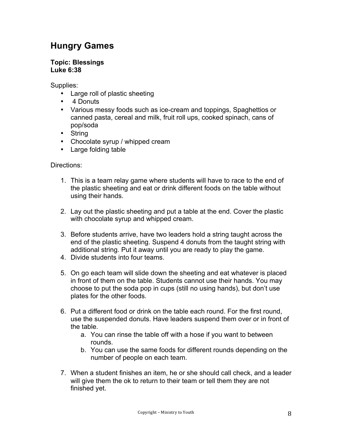# **Hungry Games**

#### **Topic: Blessings Luke 6:38**

Supplies:

- Large roll of plastic sheeting
- 4 Donuts
- Various messy foods such as ice-cream and toppings, Spaghettios or canned pasta, cereal and milk, fruit roll ups, cooked spinach, cans of pop/soda
- String
- Chocolate syrup / whipped cream
- Large folding table

### Directions:

- 1. This is a team relay game where students will have to race to the end of the plastic sheeting and eat or drink different foods on the table without using their hands.
- 2. Lay out the plastic sheeting and put a table at the end. Cover the plastic with chocolate syrup and whipped cream.
- 3. Before students arrive, have two leaders hold a string taught across the end of the plastic sheeting. Suspend 4 donuts from the taught string with additional string. Put it away until you are ready to play the game.
- 4. Divide students into four teams.
- 5. On go each team will slide down the sheeting and eat whatever is placed in front of them on the table. Students cannot use their hands. You may choose to put the soda pop in cups (still no using hands), but don't use plates for the other foods.
- 6. Put a different food or drink on the table each round. For the first round, use the suspended donuts. Have leaders suspend them over or in front of the table.
	- a. You can rinse the table off with a hose if you want to between rounds.
	- b. You can use the same foods for different rounds depending on the number of people on each team.
- 7. When a student finishes an item, he or she should call check, and a leader will give them the ok to return to their team or tell them they are not finished yet.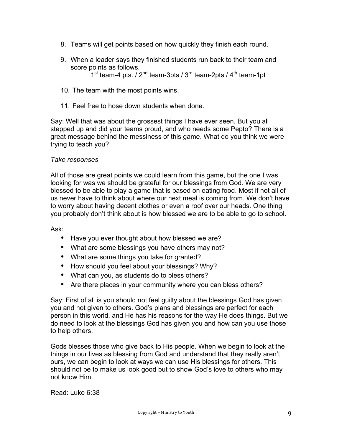- 8. Teams will get points based on how quickly they finish each round.
- 9. When a leader says they finished students run back to their team and score points as follows.
	- $1<sup>st</sup>$  team-4 pts. /  $2<sup>nd</sup>$  team-3pts /  $3<sup>rd</sup>$  team-2pts /  $4<sup>th</sup>$  team-1pt
- 10. The team with the most points wins.
- 11. Feel free to hose down students when done.

Say: Well that was about the grossest things I have ever seen. But you all stepped up and did your teams proud, and who needs some Pepto? There is a great message behind the messiness of this game. What do you think we were trying to teach you?

#### *Take responses*

All of those are great points we could learn from this game, but the one I was looking for was we should be grateful for our blessings from God. We are very blessed to be able to play a game that is based on eating food. Most if not all of us never have to think about where our next meal is coming from. We don't have to worry about having decent clothes or even a roof over our heads. One thing you probably don't think about is how blessed we are to be able to go to school.

#### Ask:

- Have you ever thought about how blessed we are?
- What are some blessings you have others may not?
- What are some things you take for granted?
- How should you feel about your blessings? Why?
- What can you, as students do to bless others?
- Are there places in your community where you can bless others?

Say: First of all is you should not feel guilty about the blessings God has given you and not given to others. God's plans and blessings are perfect for each person in this world, and He has his reasons for the way He does things. But we do need to look at the blessings God has given you and how can you use those to help others.

Gods blesses those who give back to His people. When we begin to look at the things in our lives as blessing from God and understand that they really aren't ours, we can begin to look at ways we can use His blessings for others. This should not be to make us look good but to show God's love to others who may not know Him.

Read: Luke 6:38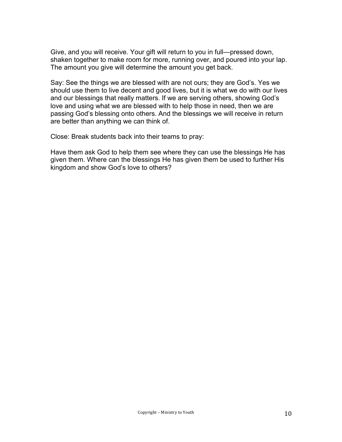Give, and you will receive. Your gift will return to you in full—pressed down, shaken together to make room for more, running over, and poured into your lap. The amount you give will determine the amount you get back.

Say: See the things we are blessed with are not ours; they are God's. Yes we should use them to live decent and good lives, but it is what we do with our lives and our blessings that really matters. If we are serving others, showing God's love and using what we are blessed with to help those in need, then we are passing God's blessing onto others. And the blessings we will receive in return are better than anything we can think of.

Close: Break students back into their teams to pray:

Have them ask God to help them see where they can use the blessings He has given them. Where can the blessings He has given them be used to further His kingdom and show God's love to others?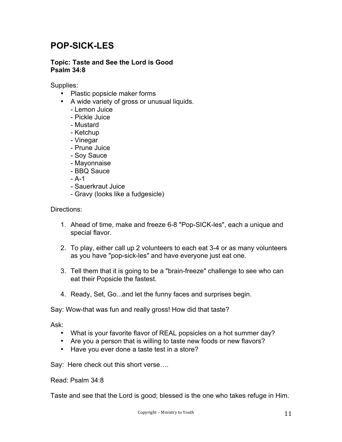# **POP-SICK-LES**

### **Topic: Taste and See the Lord is Good Psalm 34:8**

Supplies:

- Plastic popsicle maker forms
- A wide variety of gross or unusual liquids.
	- Lemon Juice
	- Pickle Juice
	- Mustard
	- Ketchup
	- Vinegar
	- Prune Juice
	- Soy Sauce
	- Mayonnaise
	- BBQ Sauce
	- $A 1$
	- Sauerkraut Juice
	- Gravy (looks like a fudgesicle)

Directions:

- 1. Ahead of time, make and freeze 6-8 "Pop-SICK-les", each a unique and special flavor.
- 2. To play, either call up 2 volunteers to each eat 3-4 or as many volunteers as you have "pop-sick-les" and have everyone just eat one.
- 3. Tell them that it is going to be a "brain-freeze" challenge to see who can eat their Popsicle the fastest.
- 4. Ready, Set, Go...and let the funny faces and surprises begin.

Say: Wow-that was fun and really gross! How did that taste?

Ask:

- What is your favorite flavor of REAL popsicles on a hot summer day?
- Are you a person that is willing to taste new foods or new flavors?
- Have you ever done a taste test in a store?

Say: Here check out this short verse….

Read: Psalm 34:8

Taste and see that the Lord is good; blessed is the one who takes refuge in Him.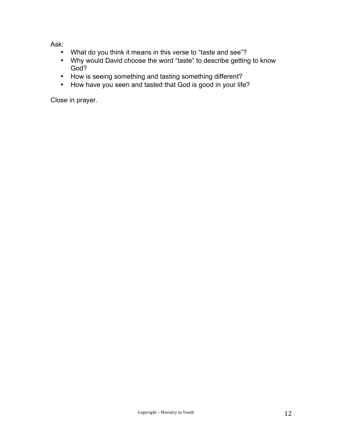Ask:

- What do you think it means in this verse to "taste and see"?
- Why would David choose the word "taste" to describe getting to know God?
- How is seeing something and tasting something different?
- How have you seen and tasted that God is good in your life?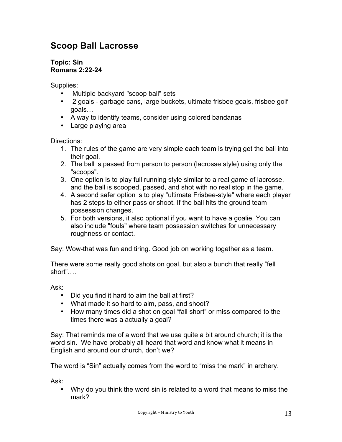## **Scoop Ball Lacrosse**

**Topic: Sin Romans 2:22-24**

Supplies:

- Multiple backyard "scoop ball" sets
- 2 goals garbage cans, large buckets, ultimate frisbee goals, frisbee golf goals…
- A way to identify teams, consider using colored bandanas
- Large playing area

Directions:

- 1. The rules of the game are very simple each team is trying get the ball into their goal.
- 2. The ball is passed from person to person (lacrosse style) using only the "scoops".
- 3. One option is to play full running style similar to a real game of lacrosse, and the ball is scooped, passed, and shot with no real stop in the game.
- 4. A second safer option is to play "ultimate Frisbee-style" where each player has 2 steps to either pass or shoot. If the ball hits the ground team possession changes.
- 5. For both versions, it also optional if you want to have a goalie. You can also include "fouls" where team possession switches for unnecessary roughness or contact.

Say: Wow-that was fun and tiring. Good job on working together as a team.

There were some really good shots on goal, but also a bunch that really "fell short"….

Ask:

- Did you find it hard to aim the ball at first?
- What made it so hard to aim, pass, and shoot?
- How many times did a shot on goal "fall short" or miss compared to the times there was a actually a goal?

Say: That reminds me of a word that we use quite a bit around church; it is the word sin. We have probably all heard that word and know what it means in English and around our church, don't we?

The word is "Sin" actually comes from the word to "miss the mark" in archery.

Ask:

• Why do you think the word sin is related to a word that means to miss the mark?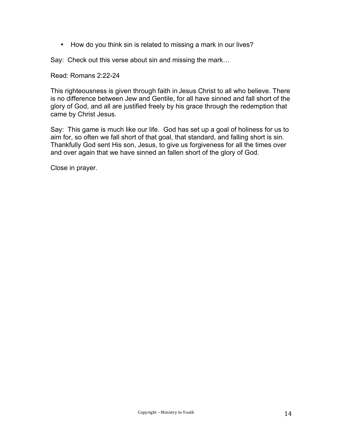• How do you think sin is related to missing a mark in our lives?

Say: Check out this verse about sin and missing the mark…

Read: Romans 2:22-24

This righteousness is given through faith in Jesus Christ to all who believe. There is no difference between Jew and Gentile, for all have sinned and fall short of the glory of God, and all are justified freely by his grace through the redemption that came by Christ Jesus.

Say: This game is much like our life. God has set up a goal of holiness for us to aim for, so often we fall short of that goal, that standard, and falling short is sin. Thankfully God sent His son, Jesus, to give us forgiveness for all the times over and over again that we have sinned an fallen short of the glory of God.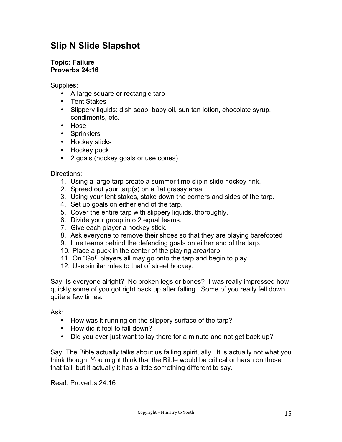## **Slip N Slide Slapshot**

### **Topic: Failure Proverbs 24:16**

Supplies:

- A large square or rectangle tarp
- Tent Stakes
- Slippery liquids: dish soap, baby oil, sun tan lotion, chocolate syrup, condiments, etc.
- Hose
- Sprinklers
- Hockey sticks
- Hockey puck
- 2 goals (hockey goals or use cones)

#### Directions:

- 1. Using a large tarp create a summer time slip n slide hockey rink.
- 2. Spread out your tarp(s) on a flat grassy area.
- 3. Using your tent stakes, stake down the corners and sides of the tarp.
- 4. Set up goals on either end of the tarp.
- 5. Cover the entire tarp with slippery liquids, thoroughly.
- 6. Divide your group into 2 equal teams.
- 7. Give each player a hockey stick.
- 8. Ask everyone to remove their shoes so that they are playing barefooted
- 9. Line teams behind the defending goals on either end of the tarp.
- 10. Place a puck in the center of the playing area/tarp.
- 11. On "Go!" players all may go onto the tarp and begin to play.
- 12. Use similar rules to that of street hockey.

Say: Is everyone alright? No broken legs or bones? I was really impressed how quickly some of you got right back up after falling. Some of you really fell down quite a few times.

Ask:

- How was it running on the slippery surface of the tarp?
- How did it feel to fall down?
- Did you ever just want to lay there for a minute and not get back up?

Say: The Bible actually talks about us falling spiritually. It is actually not what you think though. You might think that the Bible would be critical or harsh on those that fall, but it actually it has a little something different to say.

Read: Proverbs 24:16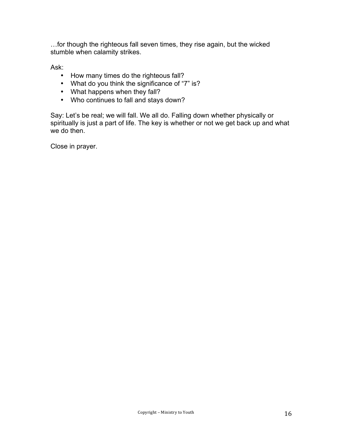…for though the righteous fall seven times, they rise again, but the wicked stumble when calamity strikes.

Ask:

- How many times do the righteous fall?
- What do you think the significance of "7" is?
- What happens when they fall?
- Who continues to fall and stays down?

Say: Let's be real; we will fall. We all do. Falling down whether physically or spiritually is just a part of life. The key is whether or not we get back up and what we do then.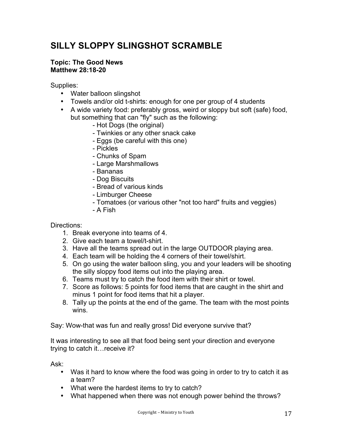# **SILLY SLOPPY SLINGSHOT SCRAMBLE**

#### **Topic: The Good News Matthew 28:18-20**

Supplies:

- Water balloon slingshot
- Towels and/or old t-shirts: enough for one per group of 4 students
- A wide variety food: preferably gross, weird or sloppy but soft (safe) food, but something that can "fly" such as the following:
	- Hot Dogs (the original)
	- Twinkies or any other snack cake
	- Eggs (be careful with this one)
	- Pickles
	- Chunks of Spam
	- Large Marshmallows
	- Bananas
	- Dog Biscuits
	- Bread of various kinds
	- Limburger Cheese
	- Tomatoes (or various other "not too hard" fruits and veggies)
	- A Fish

Directions:

- 1. Break everyone into teams of 4.
- 2. Give each team a towel/t-shirt.
- 3. Have all the teams spread out in the large OUTDOOR playing area.
- 4. Each team will be holding the 4 corners of their towel/shirt.
- 5. On go using the water balloon sling, you and your leaders will be shooting the silly sloppy food items out into the playing area.
- 6. Teams must try to catch the food item with their shirt or towel.
- 7. Score as follows: 5 points for food items that are caught in the shirt and minus 1 point for food items that hit a player.
- 8. Tally up the points at the end of the game. The team with the most points wins.

Say: Wow-that was fun and really gross! Did everyone survive that?

It was interesting to see all that food being sent your direction and everyone trying to catch it…receive it?

Ask:

- Was it hard to know where the food was going in order to try to catch it as a team?
- What were the hardest items to try to catch?
- What happened when there was not enough power behind the throws?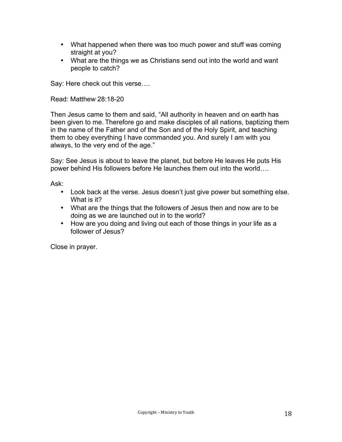- What happened when there was too much power and stuff was coming straight at you?
- What are the things we as Christians send out into the world and want people to catch?

Say: Here check out this verse….

Read: Matthew 28:18-20

Then Jesus came to them and said, "All authority in heaven and on earth has been given to me. Therefore go and make disciples of all nations, baptizing them in the name of the Father and of the Son and of the Holy Spirit, and teaching them to obey everything I have commanded you. And surely I am with you always, to the very end of the age."

Say: See Jesus is about to leave the planet, but before He leaves He puts His power behind His followers before He launches them out into the world….

Ask:

- Look back at the verse. Jesus doesn't just give power but something else. What is it?
- What are the things that the followers of Jesus then and now are to be doing as we are launched out in to the world?
- How are you doing and living out each of those things in your life as a follower of Jesus?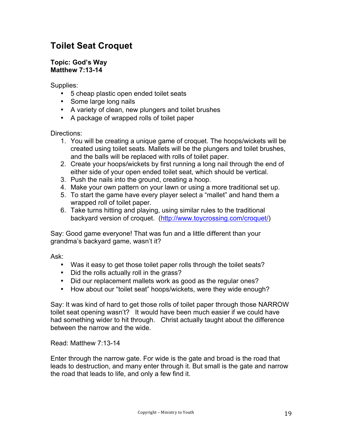# **Toilet Seat Croquet**

### **Topic: God's Way Matthew 7:13-14**

Supplies:

- 5 cheap plastic open ended toilet seats
- Some large long nails
- A variety of clean, new plungers and toilet brushes
- A package of wrapped rolls of toilet paper

Directions:

- 1. You will be creating a unique game of croquet. The hoops/wickets will be created using toilet seats. Mallets will be the plungers and toilet brushes, and the balls will be replaced with rolls of toilet paper.
- 2. Create your hoops/wickets by first running a long nail through the end of either side of your open ended toilet seat, which should be vertical.
- 3. Push the nails into the ground, creating a hoop.
- 4. Make your own pattern on your lawn or using a more traditional set up.
- 5. To start the game have every player select a "mallet" and hand them a wrapped roll of toilet paper.
- 6. Take turns hitting and playing, using similar rules to the traditional backyard version of croquet. (http://www.toycrossing.com/croquet/)

Say: Good game everyone! That was fun and a little different than your grandma's backyard game, wasn't it?

Ask:

- Was it easy to get those toilet paper rolls through the toilet seats?
- Did the rolls actually roll in the grass?
- Did our replacement mallets work as good as the regular ones?
- How about our "toilet seat" hoops/wickets, were they wide enough?

Say: It was kind of hard to get those rolls of toilet paper through those NARROW toilet seat opening wasn't? It would have been much easier if we could have had something wider to hit through. Christ actually taught about the difference between the narrow and the wide.

Read: Matthew 7:13-14

Enter through the narrow gate. For wide is the gate and broad is the road that leads to destruction, and many enter through it. But small is the gate and narrow the road that leads to life, and only a few find it.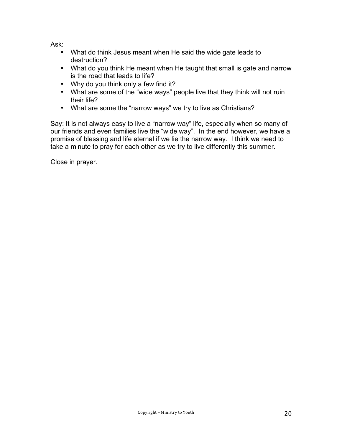Ask:

- What do think Jesus meant when He said the wide gate leads to destruction?
- What do you think He meant when He taught that small is gate and narrow is the road that leads to life?
- Why do you think only a few find it?
- What are some of the "wide ways" people live that they think will not ruin their life?
- What are some the "narrow ways" we try to live as Christians?

Say: It is not always easy to live a "narrow way" life, especially when so many of our friends and even families live the "wide way". In the end however, we have a promise of blessing and life eternal if we lie the narrow way. I think we need to take a minute to pray for each other as we try to live differently this summer.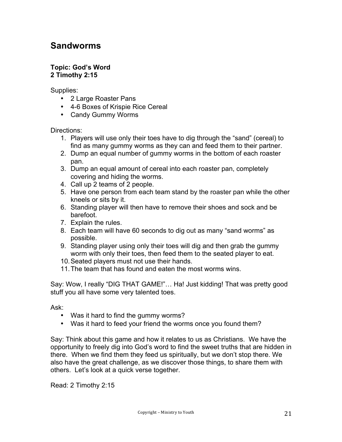### **Sandworms**

#### **Topic: God's Word 2 Timothy 2:15**

Supplies:

- 2 Large Roaster Pans
- 4-6 Boxes of Krispie Rice Cereal
- Candy Gummy Worms

Directions:

- 1. Players will use only their toes have to dig through the "sand" (cereal) to find as many gummy worms as they can and feed them to their partner.
- 2. Dump an equal number of gummy worms in the bottom of each roaster pan.
- 3. Dump an equal amount of cereal into each roaster pan, completely covering and hiding the worms.
- 4. Call up 2 teams of 2 people.
- 5. Have one person from each team stand by the roaster pan while the other kneels or sits by it.
- 6. Standing player will then have to remove their shoes and sock and be barefoot.
- 7. Explain the rules.
- 8. Each team will have 60 seconds to dig out as many "sand worms" as possible.
- 9. Standing player using only their toes will dig and then grab the gummy worm with only their toes, then feed them to the seated player to eat.
- 10.Seated players must not use their hands.
- 11.The team that has found and eaten the most worms wins.

Say: Wow, I really "DIG THAT GAME!"… Ha! Just kidding! That was pretty good stuff you all have some very talented toes.

#### Ask:

- Was it hard to find the gummy worms?
- Was it hard to feed your friend the worms once you found them?

Say: Think about this game and how it relates to us as Christians. We have the opportunity to freely dig into God's word to find the sweet truths that are hidden in there. When we find them they feed us spiritually, but we don't stop there. We also have the great challenge, as we discover those things, to share them with others. Let's look at a quick verse together.

Read: 2 Timothy 2:15